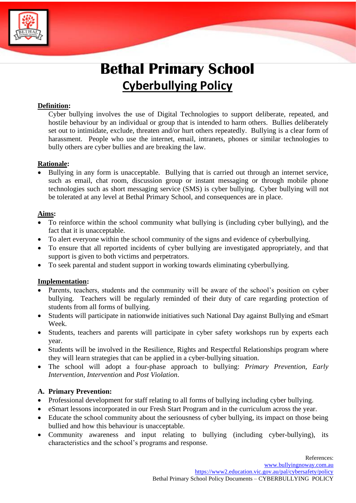

# **Bethal Primary School Cyberbullying Policy**

#### **Definition:**

Cyber bullying involves the use of Digital Technologies to support deliberate, repeated, and hostile behaviour by an individual or group that is intended to harm others. Bullies deliberately set out to intimidate, exclude, threaten and/or hurt others repeatedly. Bullying is a clear form of harassment. People who use the internet, email, intranets, phones or similar technologies to bully others are cyber bullies and are breaking the law.

## **Rationale:**

• Bullying in any form is unacceptable. Bullying that is carried out through an internet service, such as email, chat room, discussion group or instant messaging or through mobile phone technologies such as short messaging service (SMS) is cyber bullying. Cyber bullying will not be tolerated at any level at Bethal Primary School, and consequences are in place.

#### **Aims:**

- To reinforce within the school community what bullying is (including cyber bullying), and the fact that it is unacceptable.
- To alert everyone within the school community of the signs and evidence of cyberbullying.
- To ensure that all reported incidents of cyber bullying are investigated appropriately, and that support is given to both victims and perpetrators.
- To seek parental and student support in working towards eliminating cyberbullying.

#### **Implementation:**

- Parents, teachers, students and the community will be aware of the school's position on cyber bullying. Teachers will be regularly reminded of their duty of care regarding protection of students from all forms of bullying.
- Students will participate in nationwide initiatives such National Day against Bullying and eSmart Week.
- Students, teachers and parents will participate in cyber safety workshops run by experts each year.
- Students will be involved in the Resilience, Rights and Respectful Relationships program where they will learn strategies that can be applied in a cyber-bullying situation.
- The school will adopt a four-phase approach to bullying: *Primary Prevention, Early Intervention, Intervention* and *Post Violation*.

#### **A. Primary Prevention:**

- Professional development for staff relating to all forms of bullying including cyber bullying.
- eSmart lessons incorporated in our Fresh Start Program and in the curriculum across the year.
- Educate the school community about the seriousness of cyber bullying, its impact on those being bullied and how this behaviour is unacceptable.
- Community awareness and input relating to bullying (including cyber-bullying), its characteristics and the school's programs and response.